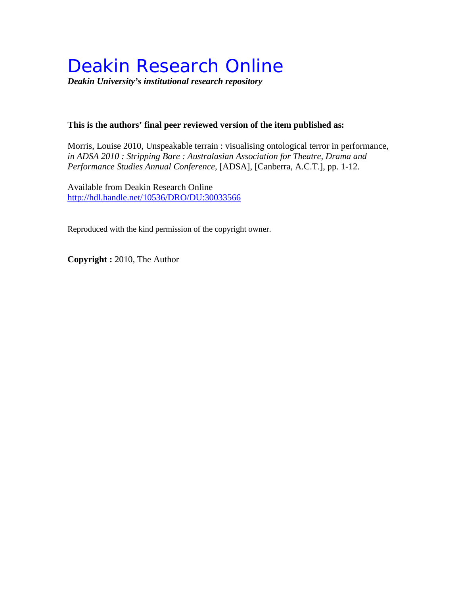# Deakin Research Online

*Deakin University's institutional research repository*

#### **This is the authors' final peer reviewed version of the item published as:**

Morris, Louise 2010, Unspeakable terrain : visualising ontological terror in performance*, in ADSA 2010 : Stripping Bare : Australasian Association for Theatre, Drama and Performance Studies Annual Conference*, [ADSA], [Canberra, A.C.T.], pp. 1-12.

Available from Deakin Research Online <http://hdl.handle.net/10536/DRO/DU:30033566>

Reproduced with the kind permission of the copyright owner.

**Copyright :** 2010, The Author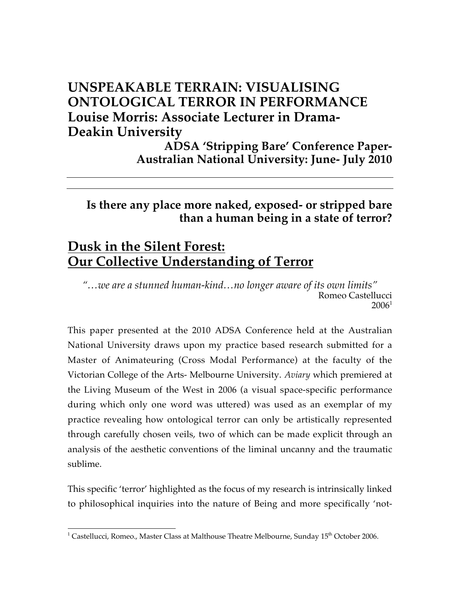## **UNSPEAKABLE TERRAIN: VISUALISING ONTOLOGICAL TERROR IN PERFORMANCE Louise Morris: Associate Lecturer in Drama-Deakin University**

**ADSA 'Stripping Bare' Conference Paper-Australian National University: June- July 2010**

## **Is there any place more naked, exposed- or stripped bare than a human being in a state of terror?**

# **Dusk in the Silent Forest: Our Collective Understanding of Terror**

*"…we are a stunned human-kind…no longer aware of its own limits"* Romeo Castellucci  $2006<sup>1</sup>$ 

This paper presented at the 2010 ADSA Conference held at the Australian National University draws upon my practice based research submitted for a Master of Animateuring (Cross Modal Performance) at the faculty of the Victorian College of the Arts- Melbourne University. *Aviary* which premiered at the Living Museum of the West in 2006 (a visual space-specific performance during which only one word was uttered) was used as an exemplar of my practice revealing how ontological terror can only be artistically represented through carefully chosen veils, two of which can be made explicit through an analysis of the aesthetic conventions of the liminal uncanny and the traumatic sublime.

This specific 'terror' highlighted as the focus of my research is intrinsically linked to philosophical inquiries into the nature of Being and more specifically 'not-

 $\frac{1}{1}$ <sup>1</sup> Castellucci, Romeo., Master Class at Malthouse Theatre Melbourne, Sunday  $15<sup>th</sup>$  October 2006.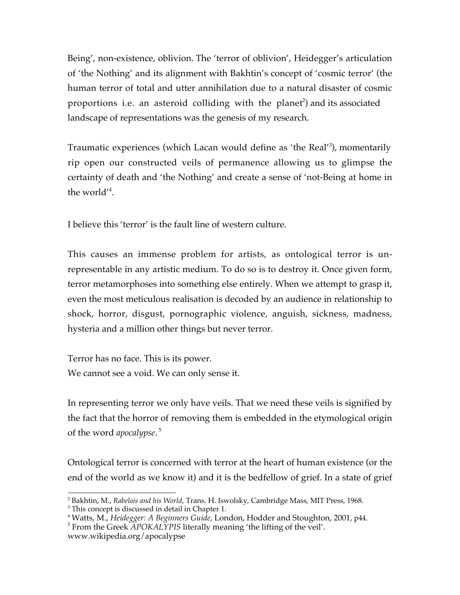Being', non-existence, oblivion. The 'terror of oblivion', Heidegger's articulation of 'the Nothing' and its alignment with Bakhtin's concept of 'cosmic terror' (the human terror of total and utter annihilation due to a natural disaster of cosmic proportions i.e. an asteroid colliding with the planet<sup>2</sup>) and its associated landscape of representations was the genesis of my research.

Traumatic experiences (which Lacan would define as 'the Real'<sup>3</sup>), momentarily rip open our constructed veils of permanence allowing us to glimpse the certainty of death and 'the Nothing' and create a sense of 'not-Being at home in the world'<sup>4</sup> .

I believe this 'terror' is the fault line of western culture.

This causes an immense problem for artists, as ontological terror is unrepresentable in any artistic medium. To do so is to destroy it. Once given form, terror metamorphoses into something else entirely. When we attempt to grasp it, even the most meticulous realisation is decoded by an audience in relationship to shock, horror, disgust, pornographic violence, anguish, sickness, madness, hysteria and a million other things but never terror.

Terror has no face. This is its power. We cannot see a void. We can only sense it.

In representing terror we only have veils. That we need these veils is signified by the fact that the horror of removing them is embedded in the etymological origin of the word *apocalypse*. 5

Ontological terror is concerned with terror at the heart of human existence (or the end of the world as we know it) and it is the bedfellow of grief. In a state of grief

 $\frac{1}{2}$ <sup>2</sup> Bakhtin, M., *Rabelais and his World*, Trans. H. Iswolsky, Cambridge Mass, MIT Press, 1968.

<sup>&</sup>lt;sup>3</sup> This concept is discussed in detail in Chapter 1.

<sup>4</sup> Watts, M., *Heidegger: A Beginners Guide*, London, Hodder and Stoughton, 2001, p44.

<sup>&</sup>lt;sup>5</sup> From the Greek *APOKALYPIS* literally meaning 'the lifting of the veil'. www.wikipedia.org/apocalypse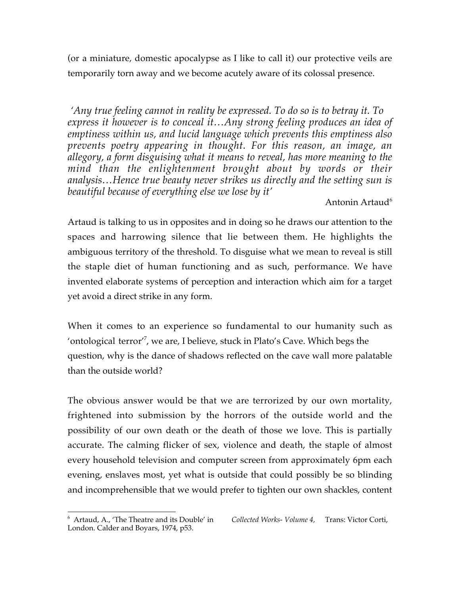(or a miniature, domestic apocalypse as I like to call it) our protective veils are temporarily torn away and we become acutely aware of its colossal presence.

 *'Any true feeling cannot in reality be expressed. To do so is to betray it. To express it however is to conceal it…Any strong feeling produces an idea of emptiness within us, and lucid language which prevents this emptiness also prevents poetry appearing in thought. For this reason, an image, an allegory, a form disguising what it means to reveal, has more meaning to the mind than the enlightenment brought about by words or their analysis…Hence true beauty never strikes us directly and the setting sun is beautiful because of everything else we lose by it'*

Antonin Artaud<sup>6</sup>

Artaud is talking to us in opposites and in doing so he draws our attention to the spaces and harrowing silence that lie between them. He highlights the ambiguous territory of the threshold. To disguise what we mean to reveal is still the staple diet of human functioning and as such, performance. We have invented elaborate systems of perception and interaction which aim for a target yet avoid a direct strike in any form.

When it comes to an experience so fundamental to our humanity such as 'ontological terror'7 , we are, I believe, stuck in Plato's Cave. Which begs the question, why is the dance of shadows reflected on the cave wall more palatable than the outside world?

The obvious answer would be that we are terrorized by our own mortality, frightened into submission by the horrors of the outside world and the possibility of our own death or the death of those we love. This is partially accurate. The calming flicker of sex, violence and death, the staple of almost every household television and computer screen from approximately 6pm each evening, enslaves most, yet what is outside that could possibly be so blinding and incomprehensible that we would prefer to tighten our own shackles, content

<sup>6</sup> Artaud, A., 'The Theatre and its Double' in *Collected Works- Volume 4,* Trans: Victor Corti, London. Calder and Boyars, 1974, p53.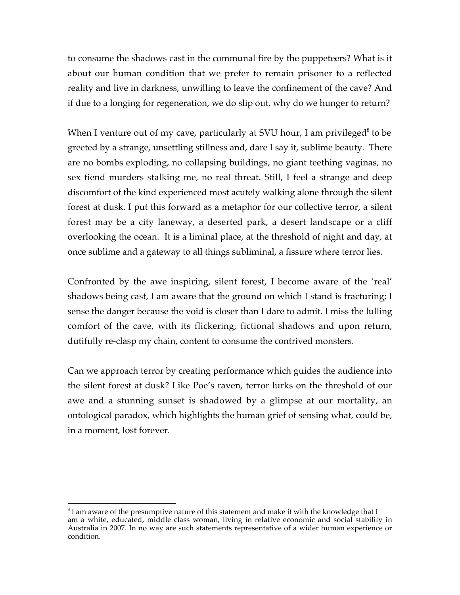to consume the shadows cast in the communal fire by the puppeteers? What is it about our human condition that we prefer to remain prisoner to a reflected reality and live in darkness, unwilling to leave the confinement of the cave? And if due to a longing for regeneration, we do slip out, why do we hunger to return?

When I venture out of my cave, particularly at SVU hour, I am privileged<sup>8</sup> to be greeted by a strange, unsettling stillness and, dare I say it, sublime beauty. There are no bombs exploding, no collapsing buildings, no giant teething vaginas, no sex fiend murders stalking me, no real threat. Still, I feel a strange and deep discomfort of the kind experienced most acutely walking alone through the silent forest at dusk. I put this forward as a metaphor for our collective terror, a silent forest may be a city laneway, a deserted park, a desert landscape or a cliff overlooking the ocean. It is a liminal place, at the threshold of night and day, at once sublime and a gateway to all things subliminal, a fissure where terror lies.

Confronted by the awe inspiring, silent forest, I become aware of the 'real' shadows being cast, I am aware that the ground on which I stand is fracturing; I sense the danger because the void is closer than I dare to admit. I miss the lulling comfort of the cave, with its flickering, fictional shadows and upon return, dutifully re-clasp my chain, content to consume the contrived monsters.

Can we approach terror by creating performance which guides the audience into the silent forest at dusk? Like Poe's raven, terror lurks on the threshold of our awe and a stunning sunset is shadowed by a glimpse at our mortality, an ontological paradox, which highlights the human grief of sensing what, could be, in a moment, lost forever.

8  ${}^{8}$  I am aware of the presumptive nature of this statement and make it with the knowledge that I am a white, educated, middle class woman, living in relative economic and social stability in Australia in 2007. In no way are such statements representative of a wider human experience or condition.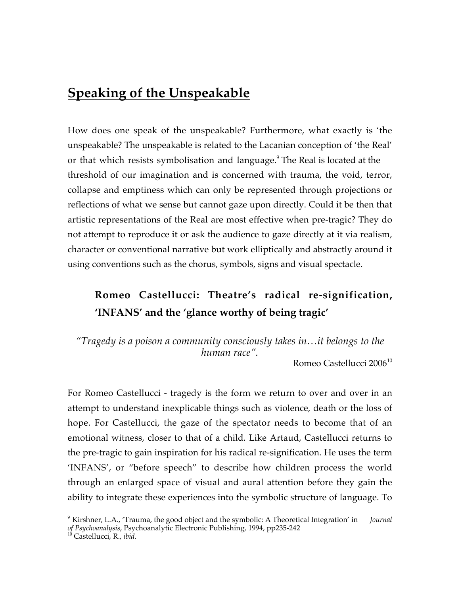# **Speaking of the Unspeakable**

How does one speak of the unspeakable? Furthermore, what exactly is 'the unspeakable? The unspeakable is related to the Lacanian conception of 'the Real' or that which resists symbolisation and language.<sup>9</sup> The Real is located at the threshold of our imagination and is concerned with trauma, the void, terror, collapse and emptiness which can only be represented through projections or reflections of what we sense but cannot gaze upon directly. Could it be then that artistic representations of the Real are most effective when pre-tragic? They do not attempt to reproduce it or ask the audience to gaze directly at it via realism, character or conventional narrative but work elliptically and abstractly around it using conventions such as the chorus, symbols, signs and visual spectacle.

## **Romeo Castellucci: Theatre's radical re-signification, 'INFANS' and the 'glance worthy of being tragic'**

*"Tragedy is a poison a community consciously takes in…it belongs to the human race".*

Romeo Castellucci 2006<sup>10</sup>

For Romeo Castellucci - tragedy is the form we return to over and over in an attempt to understand inexplicable things such as violence, death or the loss of hope. For Castellucci, the gaze of the spectator needs to become that of an emotional witness, closer to that of a child. Like Artaud, Castellucci returns to the pre-tragic to gain inspiration for his radical re-signification. He uses the term 'INFANS', or "before speech" to describe how children process the world through an enlarged space of visual and aural attention before they gain the ability to integrate these experiences into the symbolic structure of language. To

<sup>9</sup> Kirshner, L.A., 'Trauma, the good object and the symbolic: A Theoretical Integration' in *Journal of Psychoanalysis*, Psychoanalytic Electronic Publishing, 1994, pp235-242 <sup>10</sup> Castellucci, R., *ibid.*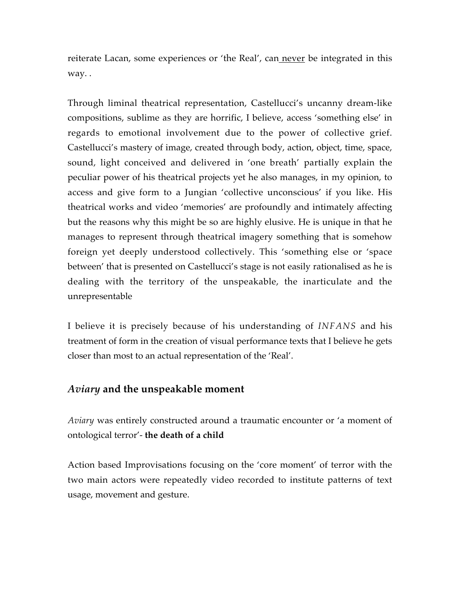reiterate Lacan, some experiences or 'the Real', can never be integrated in this way. .

Through liminal theatrical representation, Castellucci's uncanny dream-like compositions, sublime as they are horrific, I believe, access 'something else' in regards to emotional involvement due to the power of collective grief. Castellucci's mastery of image, created through body, action, object, time, space, sound, light conceived and delivered in 'one breath' partially explain the peculiar power of his theatrical projects yet he also manages, in my opinion, to access and give form to a Jungian 'collective unconscious' if you like. His theatrical works and video 'memories' are profoundly and intimately affecting but the reasons why this might be so are highly elusive. He is unique in that he manages to represent through theatrical imagery something that is somehow foreign yet deeply understood collectively. This 'something else or 'space between' that is presented on Castellucci's stage is not easily rationalised as he is dealing with the territory of the unspeakable, the inarticulate and the unrepresentable

I believe it is precisely because of his understanding of *INFANS* and his treatment of form in the creation of visual performance texts that I believe he gets closer than most to an actual representation of the 'Real'.

#### *Aviary* **and the unspeakable moment**

*Aviary* was entirely constructed around a traumatic encounter or 'a moment of ontological terror'- **the death of a child**

Action based Improvisations focusing on the 'core moment' of terror with the two main actors were repeatedly video recorded to institute patterns of text usage, movement and gesture.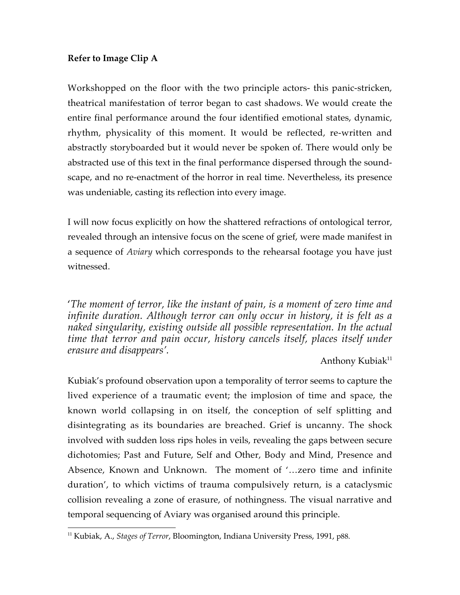#### **Refer to Image Clip A**

Workshopped on the floor with the two principle actors- this panic-stricken, theatrical manifestation of terror began to cast shadows. We would create the entire final performance around the four identified emotional states, dynamic, rhythm, physicality of this moment. It would be reflected, re-written and abstractly storyboarded but it would never be spoken of. There would only be abstracted use of this text in the final performance dispersed through the soundscape, and no re-enactment of the horror in real time. Nevertheless, its presence was undeniable, casting its reflection into every image.

I will now focus explicitly on how the shattered refractions of ontological terror, revealed through an intensive focus on the scene of grief, were made manifest in a sequence of *Aviary* which corresponds to the rehearsal footage you have just witnessed.

'*The moment of terror, like the instant of pain, is a moment of zero time and infinite duration. Although terror can only occur in history, it is felt as a naked singularity, existing outside all possible representation. In the actual time that terror and pain occur, history cancels itself, places itself under erasure and disappears'.*

#### Anthony Kubiak<sup>11</sup>

Kubiak's profound observation upon a temporality of terror seems to capture the lived experience of a traumatic event; the implosion of time and space, the known world collapsing in on itself, the conception of self splitting and disintegrating as its boundaries are breached. Grief is uncanny. The shock involved with sudden loss rips holes in veils, revealing the gaps between secure dichotomies; Past and Future, Self and Other, Body and Mind, Presence and Absence, Known and Unknown. The moment of '…zero time and infinite duration', to which victims of trauma compulsively return, is a cataclysmic collision revealing a zone of erasure, of nothingness. The visual narrative and temporal sequencing of Aviary was organised around this principle.

 $\overline{a}$ <sup>11</sup> Kubiak, A., *Stages of Terror*, Bloomington, Indiana University Press, 1991, p88.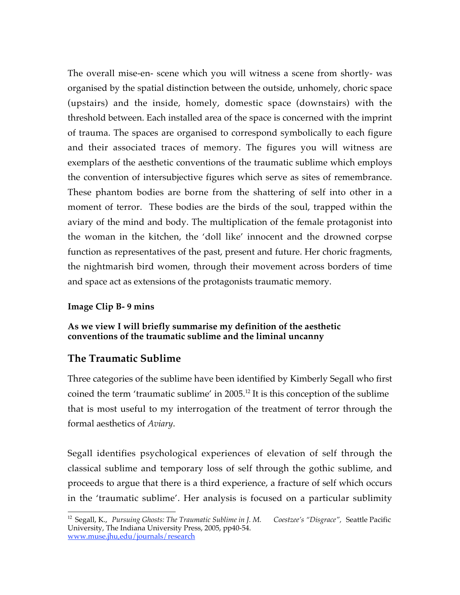The overall mise-en- scene which you will witness a scene from shortly- was organised by the spatial distinction between the outside, unhomely, choric space (upstairs) and the inside, homely, domestic space (downstairs) with the threshold between. Each installed area of the space is concerned with the imprint of trauma. The spaces are organised to correspond symbolically to each figure and their associated traces of memory. The figures you will witness are exemplars of the aesthetic conventions of the traumatic sublime which employs the convention of intersubjective figures which serve as sites of remembrance. These phantom bodies are borne from the shattering of self into other in a moment of terror. These bodies are the birds of the soul, trapped within the aviary of the mind and body. The multiplication of the female protagonist into the woman in the kitchen, the 'doll like' innocent and the drowned corpse function as representatives of the past, present and future. Her choric fragments, the nightmarish bird women, through their movement across borders of time and space act as extensions of the protagonists traumatic memory.

#### **Image Clip B- 9 mins**

#### **As we view I will briefly summarise my definition of the aesthetic conventions of the traumatic sublime and the liminal uncanny**

#### **The Traumatic Sublime**

Three categories of the sublime have been identified by Kimberly Segall who first coined the term 'traumatic sublime' in  $2005$ .<sup>12</sup> It is this conception of the sublime that is most useful to my interrogation of the treatment of terror through the formal aesthetics of *Aviary*.

Segall identifies psychological experiences of elevation of self through the classical sublime and temporary loss of self through the gothic sublime, and proceeds to argue that there is a third experience, a fracture of self which occurs in the 'traumatic sublime'. Her analysis is focused on a particular sublimity

<sup>&</sup>lt;sup>12</sup> Segall, K., *Pursuing Ghosts: The Traumatic Sublime in J. M. Coestzee's "Disgrace", Seattle Pacific* University, The Indiana University Press, 2005, pp40-54. www.muse.jhu,edu/journals/research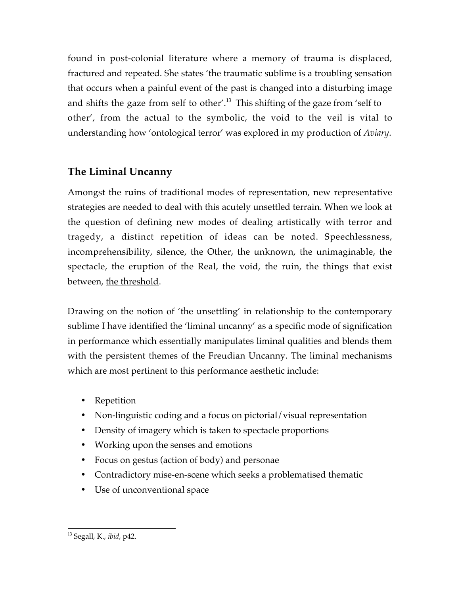found in post-colonial literature where a memory of trauma is displaced, fractured and repeated. She states 'the traumatic sublime is a troubling sensation that occurs when a painful event of the past is changed into a disturbing image and shifts the gaze from self to other'.<sup>13</sup> This shifting of the gaze from 'self to other', from the actual to the symbolic, the void to the veil is vital to understanding how 'ontological terror' was explored in my production of *Aviary*.

### **The Liminal Uncanny**

Amongst the ruins of traditional modes of representation, new representative strategies are needed to deal with this acutely unsettled terrain. When we look at the question of defining new modes of dealing artistically with terror and tragedy, a distinct repetition of ideas can be noted. Speechlessness, incomprehensibility, silence, the Other, the unknown, the unimaginable, the spectacle, the eruption of the Real, the void, the ruin, the things that exist between, the threshold.

Drawing on the notion of 'the unsettling' in relationship to the contemporary sublime I have identified the 'liminal uncanny' as a specific mode of signification in performance which essentially manipulates liminal qualities and blends them with the persistent themes of the Freudian Uncanny. The liminal mechanisms which are most pertinent to this performance aesthetic include:

- Repetition
- Non-linguistic coding and a focus on pictorial/visual representation
- Density of imagery which is taken to spectacle proportions
- Working upon the senses and emotions
- Focus on gestus (action of body) and personae
- Contradictory mise-en-scene which seeks a problematised thematic
- Use of unconventional space

13 Segall, K., *ibid*, p42.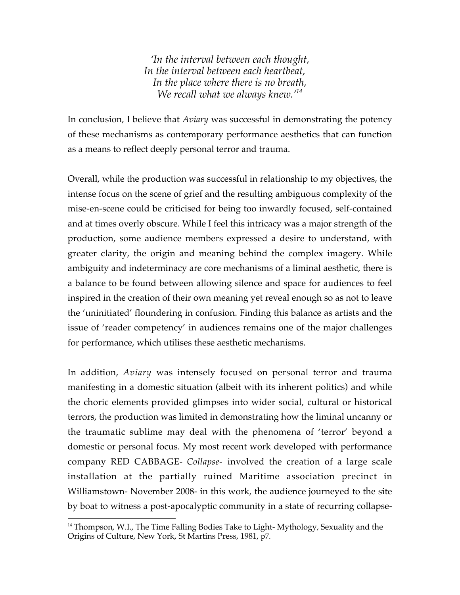*'In the interval between each thought, In the interval between each heartbeat, In the place where there is no breath, We recall what we always knew.'14*

In conclusion, I believe that *Aviary* was successful in demonstrating the potency of these mechanisms as contemporary performance aesthetics that can function as a means to reflect deeply personal terror and trauma.

Overall, while the production was successful in relationship to my objectives, the intense focus on the scene of grief and the resulting ambiguous complexity of the mise-en-scene could be criticised for being too inwardly focused, self-contained and at times overly obscure. While I feel this intricacy was a major strength of the production, some audience members expressed a desire to understand, with greater clarity, the origin and meaning behind the complex imagery. While ambiguity and indeterminacy are core mechanisms of a liminal aesthetic, there is a balance to be found between allowing silence and space for audiences to feel inspired in the creation of their own meaning yet reveal enough so as not to leave the 'uninitiated' floundering in confusion. Finding this balance as artists and the issue of 'reader competency' in audiences remains one of the major challenges for performance, which utilises these aesthetic mechanisms.

In addition, *Aviary* was intensely focused on personal terror and trauma manifesting in a domestic situation (albeit with its inherent politics) and while the choric elements provided glimpses into wider social, cultural or historical terrors, the production was limited in demonstrating how the liminal uncanny or the traumatic sublime may deal with the phenomena of 'terror' beyond a domestic or personal focus. My most recent work developed with performance company RED CABBAGE- *Collapse-* involved the creation of a large scale installation at the partially ruined Maritime association precinct in Williamstown- November 2008- in this work, the audience journeyed to the site by boat to witness a post-apocalyptic community in a state of recurring collapse-

 $\overline{a}$ <sup>14</sup> Thompson, W.I., The Time Falling Bodies Take to Light- Mythology, Sexuality and the Origins of Culture, New York, St Martins Press, 1981, p7.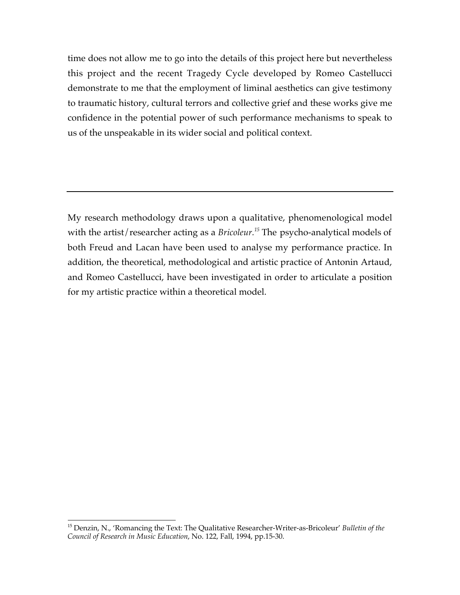time does not allow me to go into the details of this project here but nevertheless this project and the recent Tragedy Cycle developed by Romeo Castellucci demonstrate to me that the employment of liminal aesthetics can give testimony to traumatic history, cultural terrors and collective grief and these works give me confidence in the potential power of such performance mechanisms to speak to us of the unspeakable in its wider social and political context.

My research methodology draws upon a qualitative, phenomenological model with the artist/researcher acting as a *Bricoleur.<sup>15</sup>* The psycho-analytical models of both Freud and Lacan have been used to analyse my performance practice. In addition, the theoretical, methodological and artistic practice of Antonin Artaud, and Romeo Castellucci, have been investigated in order to articulate a position for my artistic practice within a theoretical model.

15 Denzin, N., 'Romancing the Text: The Qualitative Researcher-Writer-as-Bricoleur' *Bulletin of the Council of Research in Music Education*, No. 122, Fall, 1994, pp.15-30.